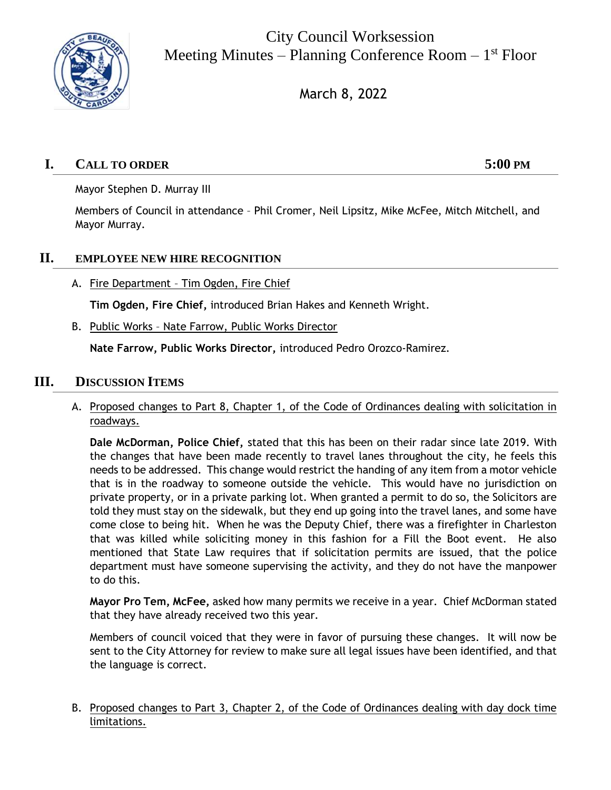

City Council Worksession Meeting Minutes – Planning Conference Room – 1<sup>st</sup> Floor

March 8, 2022

# **I. CALL TO ORDER 5:00 PM**

Mayor Stephen D. Murray III

Members of Council in attendance – Phil Cromer, Neil Lipsitz, Mike McFee, Mitch Mitchell, and Mayor Murray.

## **II. EMPLOYEE NEW HIRE RECOGNITION**

A. Fire Department - Tim Ogden, Fire Chief

**Tim Ogden, Fire Chief,** introduced Brian Hakes and Kenneth Wright.

B. Public Works – Nate Farrow, Public Works Director

**Nate Farrow, Public Works Director,** introduced Pedro Orozco-Ramirez.

### **III. DISCUSSION ITEMS**

A. Proposed changes to Part 8, Chapter 1, of the Code of Ordinances dealing with solicitation in roadways.

**Dale McDorman, Police Chief,** stated that this has been on their radar since late 2019. With the changes that have been made recently to travel lanes throughout the city, he feels this needs to be addressed. This change would restrict the handing of any item from a motor vehicle that is in the roadway to someone outside the vehicle. This would have no jurisdiction on private property, or in a private parking lot. When granted a permit to do so, the Solicitors are told they must stay on the sidewalk, but they end up going into the travel lanes, and some have come close to being hit. When he was the Deputy Chief, there was a firefighter in Charleston that was killed while soliciting money in this fashion for a Fill the Boot event. He also mentioned that State Law requires that if solicitation permits are issued, that the police department must have someone supervising the activity, and they do not have the manpower to do this.

**Mayor Pro Tem, McFee,** asked how many permits we receive in a year. Chief McDorman stated that they have already received two this year.

Members of council voiced that they were in favor of pursuing these changes. It will now be sent to the City Attorney for review to make sure all legal issues have been identified, and that the language is correct.

#### B. Proposed changes to Part 3, Chapter 2, of the Code of Ordinances dealing with day dock time limitations.